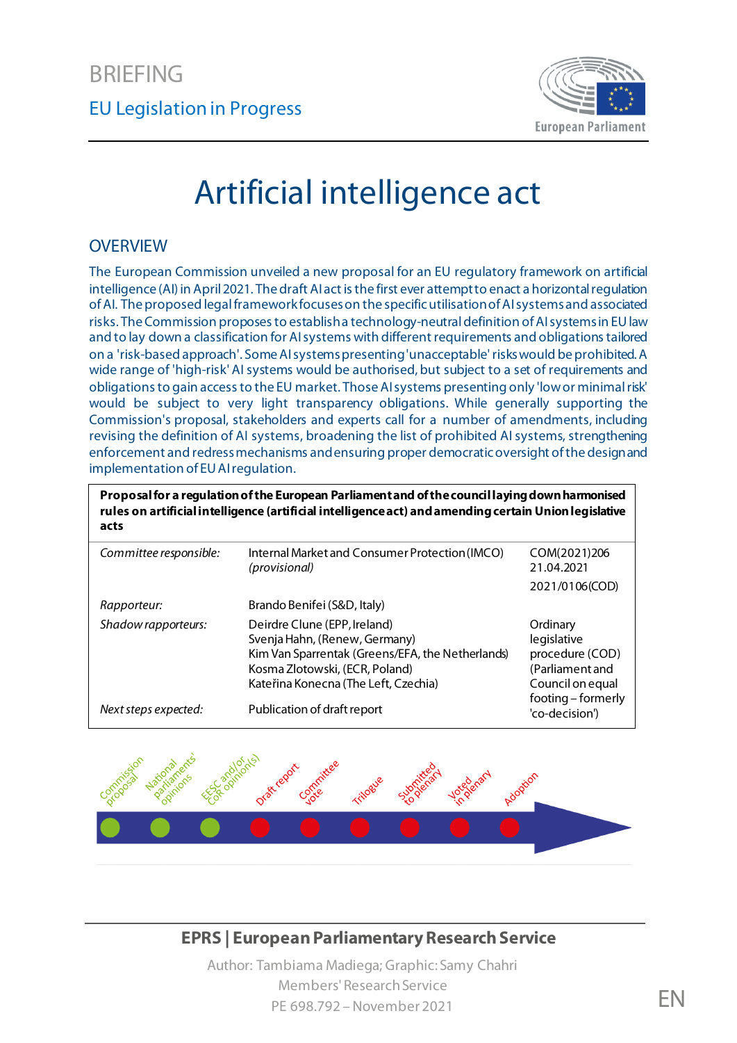

# Artificial intelligence act

#### **OVERVIEW**

The European Commission unveiled a new proposal for an EU regulatory framework on artificial intelligence (AI) in April 2021. The draft AI act is the first ever attempt to enact a horizontal regulation of AI. The proposed legal framework focuses on the specific utilisation of AI systems and associated risks. The Commission proposes to establisha technology-neutral definition of AI systems in EU law and to lay down a classification for AI systems with different requirements and obligations tailored on a 'risk-based approach'. Some AI systems presenting 'unacceptable' riskswould be prohibited. A wide range of 'high-risk' AI systems would be authorised, but subject to a set of requirements and obligations to gain access to the EU market. Those AI systems presenting only 'low or minimalrisk' would be subject to very light transparency obligations. While generally supporting the Commission's proposal, stakeholders and experts call for a number of amendments, including revising the definition of AI systems, broadening the list of prohibited AI systems, strengthening enforcement and redress mechanisms and ensuring proper democratic oversight ofthe design and implementation of EU AI regulation.

**Proposal for a regulation of the European Parliament and of the council laying down harmonised rules on artificial intelligence (artificial intelligence act) and amending certain Union legislative acts** 

| Committee responsible: | Internal Market and Consumer Protection (IMCO)<br>(provisional)                                                                                                                             | COM(2021)206<br>21.04.2021                                                        |
|------------------------|---------------------------------------------------------------------------------------------------------------------------------------------------------------------------------------------|-----------------------------------------------------------------------------------|
|                        |                                                                                                                                                                                             | 2021/0106(COD)                                                                    |
| Rapporteur:            | Brando Benifei (S&D, Italy)                                                                                                                                                                 |                                                                                   |
| Shadow rapporteurs:    | Deirdre Clune (EPP, Ireland)<br>Svenja Hahn, (Renew, Germany)<br>Kim Van Sparrentak (Greens/EFA, the Netherlands)<br>Kosma Zlotowski, (ECR, Poland)<br>Kateřina Konecna (The Left, Czechia) | Ordinary<br>legislative<br>procedure (COD)<br>(Parliament and<br>Council on equal |
| Next steps expected:   | Publication of draft report                                                                                                                                                                 | footing - formerly<br>'co-decision')                                              |



#### **EPRS | European Parliamentary Research Service**

Author: Tambiama Madiega; Graphic: Samy Chahri Members' Research Service PE 698.792 – November 2021 FRANCES AND THE SERVICE STATES AND THE SERVICE STATES OF THE SERVICE STATES OF THE S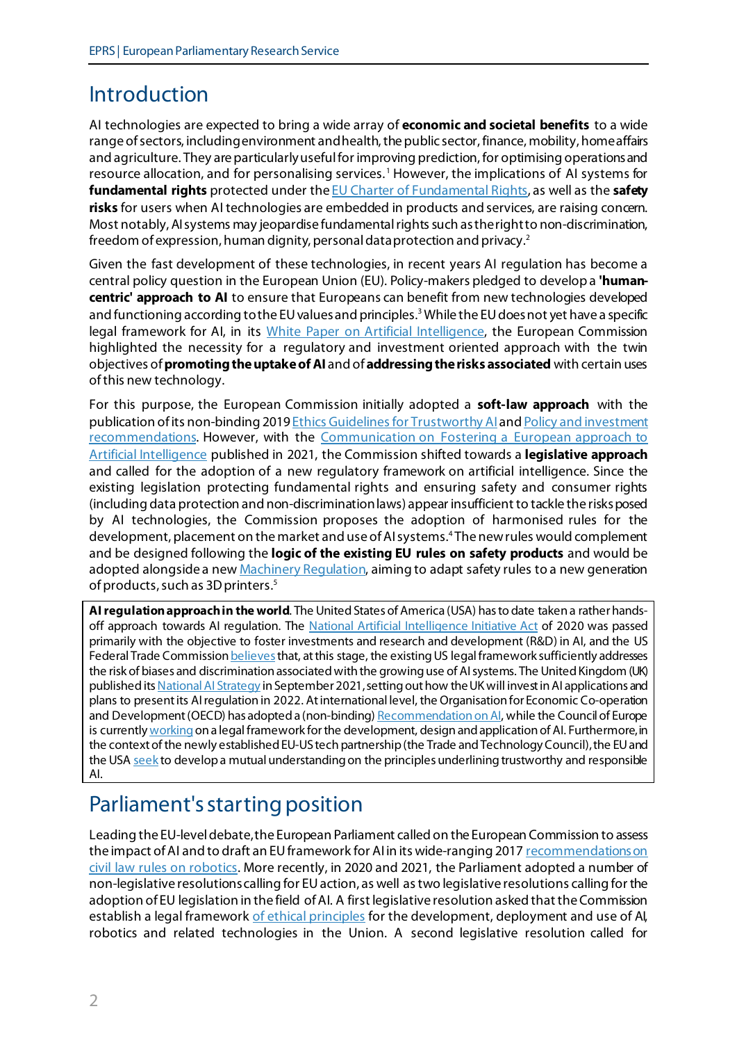# Introduction

AI technologies are expected to bring a wide array of **economic and societal benefits** to a wide range of sectors, including environment and health, the public sector, finance, mobility, home affairs and agriculture. They are particularly useful for improving prediction, for optimising operations and resource allocation, and for personalising services. [1](#page-10-0) However, the implications of AI systems for **fundamental rights** protected under th[e EU Charter of Fundamental Rights](https://ec.europa.eu/info/aid-development-cooperation-fundamental-rights/your-rights-eu/eu-charter-fundamental-rights_en), as well as the **safety risks** for users when AI technologies are embedded in products and services, are raising concern. Most notably, AI systems may jeopardise fundamental rights such as the right to non-discrimination, freedom of expression, human dignity, personal data protection and privacy.[2](#page-10-1)

Given the fast development of these technologies, in recent years AI regulation has become a central policy question in the European Union (EU). Policy-makers pledged to develop a **'humancentric' approach to AI** to ensure that Europeans can benefit from new technologies developed and functioning according to the EU values and principles.<sup>[3](#page-10-2)</sup> While the EU does not yet have a specific legal framework for AI, in its [White Paper on Artificial Intelligence,](https://ec.europa.eu/info/sites/default/files/commission-white-paper-artificial-intelligence-feb2020_en.pdf) the European Commission highlighted the necessity for a regulatory and investment oriented approach with the twin objectives of **promoting the uptake of AI** and of **addressing the risks associated** with certain uses of this new technology.

For this purpose, the European Commission initially adopted a **soft-law approach** with the publication of its non-binding 2019 [Ethics Guidelines for Trustworthy](https://digital-strategy.ec.europa.eu/en/library/ethics-guidelines-trustworthy-ai) AIan[d Policy and investment](https://digital-strategy.ec.europa.eu/en/library/policy-and-investment-recommendations-trustworthy-artificial-intelligence)  [recommendations.](https://digital-strategy.ec.europa.eu/en/library/policy-and-investment-recommendations-trustworthy-artificial-intelligence) However, with the [Communication on Fostering a European approach to](https://digital-strategy.ec.europa.eu/en/library/communication-fostering-european-approach-artificial-intelligence)  [Artificial Intelligence](https://digital-strategy.ec.europa.eu/en/library/communication-fostering-european-approach-artificial-intelligence) published in 2021, the Commission shifted towards a **legislative approach** and called for the adoption of a new regulatory framework on artificial intelligence. Since the existing legislation protecting fundamental rights and ensuring safety and consumer rights (including data protection and non-discrimination laws) appear insufficient to tackle the risks posed by AI technologies, the Commission proposes the adoption of harmonised rules for the development, placement on the market and use of AI systems. [4](#page-10-3) The new rules would complement and be designed following the **logic of the existing EU rules on safety products** and would be adopted alongside a ne[w Machinery Regulation](https://ec.europa.eu/docsroom/documents/45508), aiming to adapt safety rules to a new generation of products, such as 3D printers.<sup>[5](#page-10-4)</sup>

**AI regulationapproachin the world**. The United States of America (USA) has to date taken a rather hands-off approach towards AI regulation. The [National Artificial Intelligence Initiative Act](https://www.ai.gov/about/) of 2020 was passed primarily with the objective to foster investments and research and development (R&D) in AI, and the US Federal Trade Commission **believes** that, at this stage, the existing US legal framework sufficiently addresses the risk of biases and discrimination associated with the growing use of AI systems. The United Kingdom (UK) published its National AI Strategy in September 2021, setting out how the UK will invest in AI applications and plans to present its AIregulationin 2022. At international level, the Organisation for Economic Co-operation and Development(OECD) has adopted a (non-binding[\) Recommendation on AI,](https://www.oecd.org/digital/artificial-intelligence/ai-principles/) while the Council of Europe is currentl[y working](https://www.coe.int/en/web/artificial-intelligence/cahai) on a legal framework for the development, design and application of AI. Furthermore, in the context of the newly established EU-US tech partnership(the Trade and TechnologyCouncil), the EU and the USA [seek](https://ec.europa.eu/commission/presscorner/detail/en/STATEMENT_21_4951) to develop a mutual understanding on the principles underlining trustworthy and responsible AI.

# Parliament's starting position

Leading the EU-level debate, the European Parliament called on the European Commission to assess the impact of AI and to draft an EU framework for AI in its wide-ranging 2017 recommendations on [civil law rules on robotics.](https://www.europarl.europa.eu/doceo/document/TA-8-2017-0051_EN.html) More recently, in 2020 and 2021, the Parliament adopted a number of non-legislative resolutions calling for EU action, as well astwo legislative resolutions calling for the adoption of EU legislation in the field of AI. A first legislative resolution asked that the Commission establish a legal framewor[k of ethical principles](https://oeil.secure.europarl.europa.eu/oeil/popups/ficheprocedure.do?lang=en&reference=2020/2012(INL)) for the development, deployment and use of AI, robotics and related technologies in the Union. A second legislative resolution called for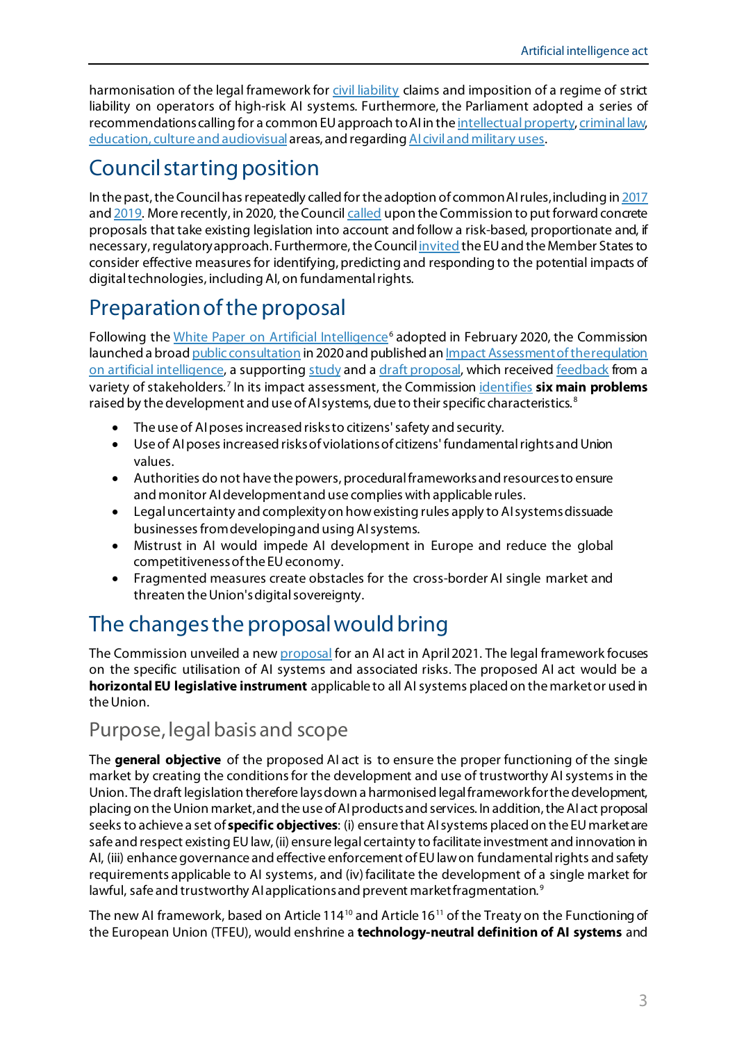harmonisation of the legal framework fo[r civil liability](https://www.europarl.europa.eu/doceo/document/TA-9-2020-0276_EN.html) claims and imposition of a regime of strict liability on operators of high-risk AI systems. Furthermore, the Parliament adopted a series of recommendations calling for a common EU approach to AI in th[e intellectual property](https://www.europarl.europa.eu/doceo/document/A-9-2020-0176_EN.html)[, criminal law,](https://oeil.secure.europarl.europa.eu/oeil/popups/ficheprocedure.do?lang=en&reference=2020/2016(INI)) [education, culture and audiovisual](https://oeil.secure.europarl.europa.eu/oeil/popups/ficheprocedure.do?reference=2020/2017(INI)&l=en) areas, and regarding AI [civil and military uses](https://www.europarl.europa.eu/doceo/document/TA-9-2021-0009_EN.html).

# Council starting position

In the past, the Council has repeatedly called for the adoption of common AI rules,including i[n 2017](https://www.consilium.europa.eu/media/21620/19-euco-final-conclusions-en.pdf) an[d 2019.](https://data.consilium.europa.eu/doc/document/ST-6177-2019-INIT/en/pdf) More recently, in 2020, the Counci[l called](https://data.consilium.europa.eu/doc/document/ST-8711-2020-INIT/en/pdf) upon the Commission to put forward concrete proposals that take existing legislation into account and follow a risk-based, proportionate and, if necessary, regulatory approach. Furthermore, the Counci[l invited](https://www.consilium.europa.eu/media/46496/st11481-en20.pdf) the EU and the Member States to consider effective measures for identifying, predicting and responding to the potential impacts of digital technologies, including AI, on fundamental rights.

# Preparation of the proposal

Following the [White Paper on Artificial Intelligence](https://ec.europa.eu/info/sites/default/files/commission-white-paper-artificial-intelligence-feb2020_en.pdf)<sup>[6](#page-10-5)</sup> adopted in February 2020, the Commission launched a broad public [consultation](https://wayback.archive-it.org/12090/20210726215107/https:/ec.europa.eu/digital-single-market/en/news/white-paper-artificial-intelligence-public-consultation-towards-european-approach-excellence) in 2020 and published an [Impact Assessmentof the regulation](https://digital-strategy.ec.europa.eu/news-redirect/708840)  [on artificial intelligence,](https://digital-strategy.ec.europa.eu/news-redirect/708840) a supportin[g study](https://op.europa.eu/en/publication-detail/-/publication/55538b70-a638-11eb-9585-01aa75ed71a1/language-en) and [a draft proposal](https://eur-lex.europa.eu/legal-content/EN/TXT/?qid=1623335154975&uri=CELEX%3A52021PC0206), which receive[d feedback](https://ec.europa.eu/info/law/better-regulation/have-your-say/initiatives/12527-Artificial-intelligence-ethical-and-legal-requirements/feedback_en?p_id=24212003) from a variety of stakeholders. [7](#page-10-6) In its impact assessment, the Commission [identifies](https://eur-lex.europa.eu/resource.html?uri=cellar:0694be88-a373-11eb-9585-01aa75ed71a1.0001.02/DOC_1&format=PDF) **six main problems** raised by the development and use of AI systems, due to their specific characteristics.<sup>[8](#page-10-7)</sup>

- The use of AI poses increased risks to citizens' safety and security.
- Use of AI poses increased risksof violations of citizens' fundamental rights and Union values.
- Authorities do not have the powers, procedural frameworks and resources to ensure and monitor AI development and use complies with applicable rules.
- Legal uncertainty and complexity on how existing rules apply to AI systems dissuade businesses from developing and using AI systems.
- Mistrust in AI would impede AI development in Europe and reduce the global competitiveness of the EU economy.
- Fragmented measures create obstacles for the cross-border AI single market and threaten the Union's digital sovereignty.

# The changes the proposal would bring

The Commission unveiled a ne[w proposal](https://digital-strategy.ec.europa.eu/en/library/proposal-regulation-laying-down-harmonised-rules-artificial-intelligence-artificial-intelligence) for an AI act in April 2021. The legal framework focuses on the specific utilisation of AI systems and associated risks. The proposed AI act would be a **horizontal EU legislative instrument** applicable to all AI systems placed on the market or used in the Union.

# Purpose, legal basis and scope

The **general objective** of the proposed AI act is to ensure the proper functioning of the single market by creating the conditions for the development and use of trustworthy AI systems in the Union. The draft legislation therefore laysdown a harmonised legal framework for the development, placing on the Union market,and the use of AI products and services. In addition, the AI act proposal seeks to achieve a set of **specific objectives**: (i) ensure that AI systems placed on the EU market are safe and respect existing EU law, (ii) ensure legal certainty to facilitate investment and innovation in AI, (iii) enhance governance and effective enforcement of EU lawon fundamental rights and safety requirements applicable to AI systems, and (iv)facilitate the development of a single market for lawful, safe and trustworthy AI applications and prevent market fragmentation.<sup>[9](#page-10-8)</sup>

The new AI framework, based on Article 114<sup>[10](#page-10-9)</sup> and Article 16<sup>[11](#page-10-10)</sup> of the Treaty on the Functioning of the European Union (TFEU), would enshrine a **technology-neutral definition of AI systems** and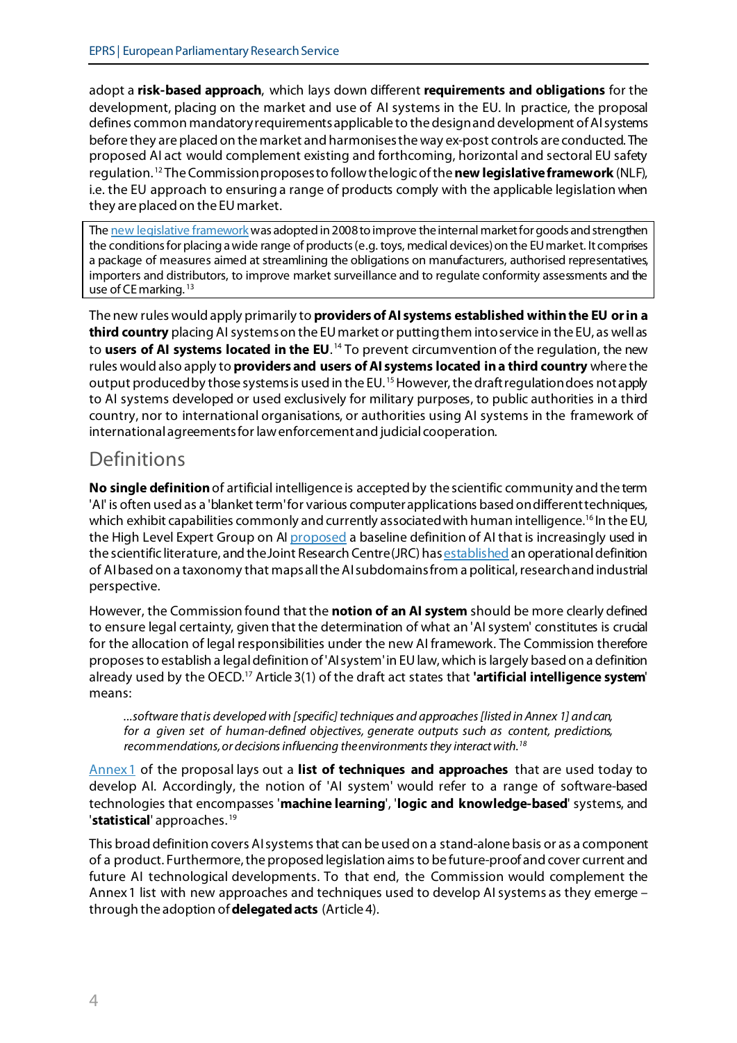adopt a **risk-based approach**, which lays down different **requirements and obligations** for the development, placing on the market and use of AI systems in the EU. In practice, the proposal defines common mandatory requirements applicable to the design and development of AI systems before they are placed on the market and harmonisesthe way ex-post controls are conducted. The proposed AI act would complement existing and forthcoming, horizontal and sectoral EU safety regulation. [12](#page-10-11) The Commission proposes to follow the logic of the **new legislative framework** (NLF), i.e. the EU approach to ensuring a range of products comply with the applicable legislation when they are placed on the EU market.

Th[e new legislative framework](https://ec.europa.eu/growth/single-market/goods/new-legislative-framework_en) was adopted in 2008 to improve the internal market for goods and strengthen the conditions for placing a wide range of products (e.g. toys, medical devices) on the EU market. It comprises a package of measures aimed at streamlining the obligations on manufacturers, authorised representatives, importers and distributors, to improve market surveillance and to regulate conformity assessments and the use of CE marking. [13](#page-10-12)

The new rules would apply primarily to **providers of AI systems established within the EU orin a third country** placing AI systems on the EU market or putting them into service in the EU, as well as to **users of AI systems located in the EU**. [14](#page-10-13) To prevent circumvention of the regulation, the new rules would also apply to **providers and users of AI systems located in a third country** where the output produced by those systems is used in the EU.<sup>[15](#page-10-14)</sup> However, the draft regulation does not apply to AI systems developed or used exclusively for military purposes, to public authorities in a third country, nor to international organisations, or authorities using AI systems in the framework of international agreements for law enforcement and judicial cooperation.

### Definitions

**No single definition** of artificial intelligence is accepted by the scientific community and the term 'AI' is often used as a 'blanket term'for various computer applications based on different techniques, which exhibit capabilities commonly and currently associated with human intelligence.<sup>[16](#page-10-15)</sup> In the EU, the High Level Expert Group on A[I proposed](https://wayback.archive-it.org/12090/20210620230405/https:/digital-strategy.ec.europa.eu/en/library/definition-artificial-intelligence-main-capabilities-and-scientific-disciplines) a baseline definition of AI that is increasingly used in the scientific literature, and the Joint Research Centre (JRC) ha[s established](https://publications.jrc.ec.europa.eu/repository/handle/JRC118163) an operational definition of AI based on a taxonomy that mapsall the AI subdomains from a political, research and industrial perspective.

However, the Commission found that the **notion of an AI system** should be more clearly defined to ensure legal certainty, given that the determination of what an 'AI system' constitutes is crucial for the allocation of legal responsibilities under the new AI framework. The Commission therefore proposesto establish a legal definition of 'AI system'in EU law, which is largely based on a definition already used by the OECD. [17](#page-11-0) Article 3(1) of the draft act states that **'artificial intelligence system**' means:

*...software that is developed with [specific] techniques and approaches [listed in Annex 1] and can, for a given set of human-defined objectives, generate outputs such as content, predictions, recommendations, or decisions influencing the environments they interact with[.18](#page-11-1)*

[Annex1](https://eur-lex.europa.eu/legal-content/EN/TXT/?uri=CELEX%3A52021PC0206) of the proposal lays out a **list of techniques and approaches** that are used today to develop AI. Accordingly, the notion of 'AI system' would refer to a range of software-based technologies that encompasses '**machine learning**', '**logic and knowledge-based**' systems, and 'statistical' approaches.<sup>[19](#page-11-2)</sup>

This broad definition covers AI systems that can be used on a stand-alone basis or as a component of a product. Furthermore, the proposed legislation aims to be future-proof and cover current and future AI technological developments. To that end, the Commission would complement the Annex1 list with new approaches and techniques used to develop AI systems as they emerge – through the adoption of **delegated acts** (Article 4).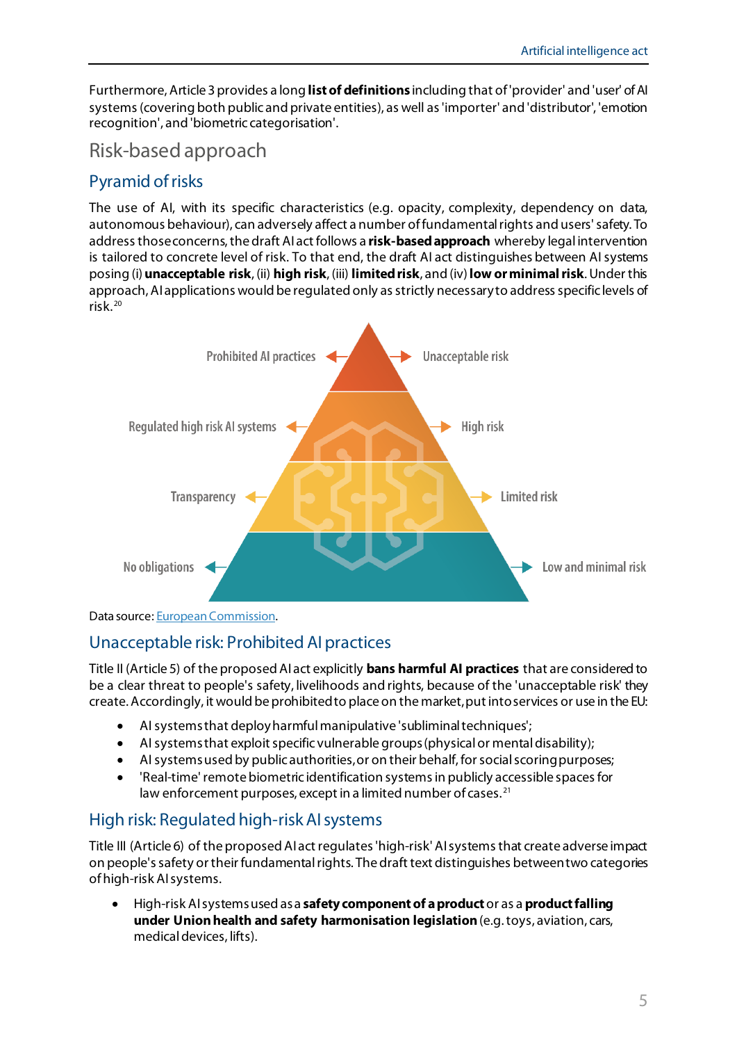Furthermore, Article 3 provides a long **list of definitions** including that of'provider' and 'user' of AI systems (covering both public and private entities), as well as 'importer' and 'distributor', 'emotion recognition', and 'biometric categorisation'.

### Risk-based approach

### Pyramid of risks

The use of AI, with its specific characteristics (e.g. opacity, complexity, dependency on data, autonomous behaviour), can adversely affect a number of fundamental rights and users' safety. To address those concerns, the draft AIact follows a **risk-based approach** whereby legal intervention is tailored to concrete level of risk. To that end, the draft AI act distinguishes between AI systems posing (i)**unacceptable risk**, (ii) **high risk**, (iii) **limited risk**, and (iv) **low or minimal risk**. Under this approach, AI applications would be regulated only as strictly necessary to address specific levels of risk. [20](#page-11-3)



Data source: [European Commission](https://digital-strategy.ec.europa.eu/en/policies/regulatory-framework-ai).

### Unacceptable risk: Prohibited AI practices

Title II (Article 5) of the proposed AIact explicitly **bans harmful AI practices** that are considered to be a clear threat to people's safety, livelihoods and rights, because of the 'unacceptable risk' they create. Accordingly, it would be prohibited to place on the market, put into services or use in the EU:

- AI systems that deploy harmful manipulative 'subliminal techniques';
- AI systems that exploit specific vulnerable groups(physical or mental disability);
- AI systems used by public authorities,or on their behalf, for social scoringpurposes;
- 'Real-time' remote biometric identification systems in publicly accessible spaces for law enforcement purposes, except in a limited number of cases.<sup>[21](#page-11-4)</sup>

### High risk: Regulated high-risk AIsystems

Title III (Article 6) of the proposed AIact regulates 'high-risk' AI systems that create adverse impact on people's safety or their fundamental rights. The draft text distinguishes between two categories of high-risk AI systems.

• High-risk AI systems used as a **safety component of a product**or as a **product falling under Union health and safety harmonisation legislation**(e.g. toys, aviation, cars, medical devices, lifts).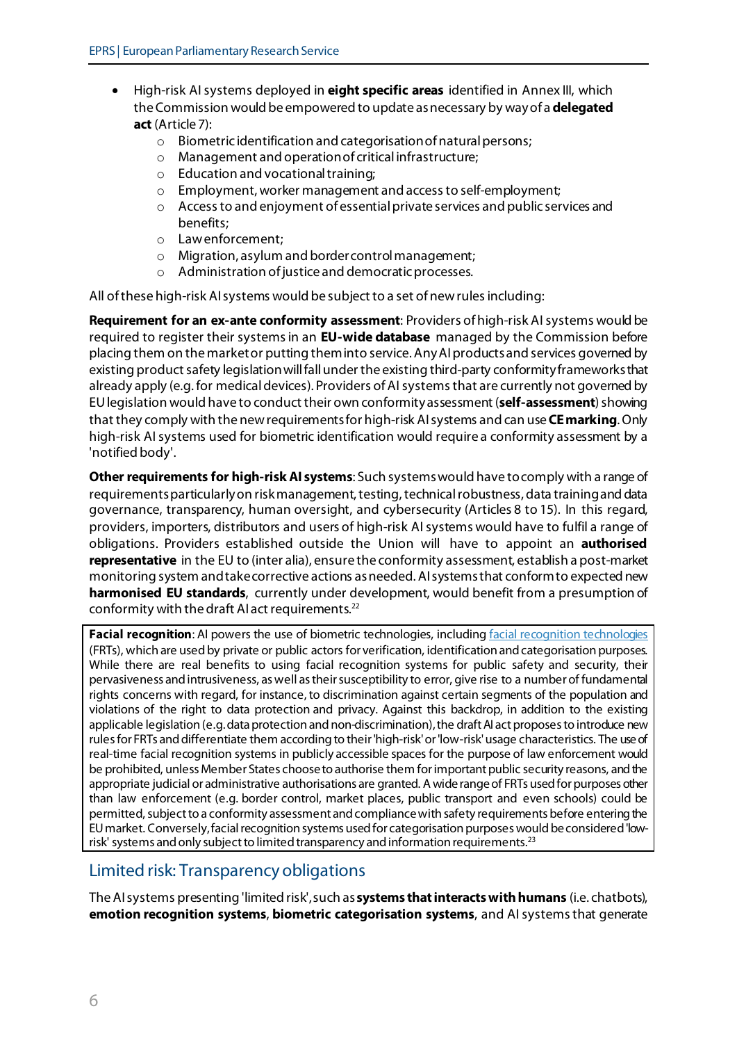- High-risk AI systems deployed in **eight specific areas** identified in Annex III, which the Commission would be empowered to update as necessary by way of a **delegated act** (Article 7):
	- o Biometric identification and categorisation of natural persons;<br>
	o Management and operation of critical infrastructure;
	- Management and operation of critical infrastructure;
	- o Education and vocational training;
	- o Employment, worker management and access to self-employment;
	- o Access to and enjoyment of essential private services and public services and benefits;
	- o Law enforcement;
	- o Migration, asylum and border control management;
	- o Administration of justice and democratic processes.

All of these high-risk AI systems would be subject to a set of new rules including:

**Requirement for an ex-ante conformity assessment**: Providers ofhigh-risk AI systems would be required to register their systems in an **EU-wide database** managed by the Commission before placing them on the market or putting them into service. Any AI products and services governed by existing product safety legislation will fall under the existing third-party conformity frameworks that already apply (e.g. for medical devices). Providers of AI systems that are currently not governed by EU legislation would have to conduct their own conformity assessment (**self-assessment**)showing that they comply with the new requirements for high-risk AI systems and can use**CE marking**. Only high-risk AI systems used for biometric identification would require a conformity assessment by a 'notified body'.

**Other requirements for high-risk AI systems**: Such systems would have tocomply with a range of requirements particularly on risk management, testing, technical robustness, data training and data governance, transparency, human oversight, and cybersecurity (Articles 8 to 15). In this regard, providers, importers, distributors and users of high-risk AI systems would have to fulfil a range of obligations. Providers established outside the Union will have to appoint an **authorised representative** in the EU to (inter alia), ensure the conformity assessment, establish a post-market monitoring system andtake corrective actions as needed.AI systems that conform to expected new **harmonised EU standards**, currently under development, would benefit from a presumption of conformity with the draft AI act requirements.[22](#page-11-5)

**Facial recognition**: AI powers the use of biometric technologies, includin[g facial recognition technologies](https://global-uploads.webflow.com/5e027ca188c99e3515b404b7/5ed1002058516c11edc66a14_FRTsPrimerMay2020.pdf) (FRTs), which are used by private or public actors for verification, identification and categorisation purposes. While there are real benefits to using facial recognition systems for public safety and security, their pervasiveness and intrusiveness, as well as their susceptibility to error, give rise to a number of fundamental rights concerns with regard, for instance, to discrimination against certain segments of the population and violations of the right to data protection and privacy. Against this backdrop, in addition to the existing applicable legislation (e.g. data protection and non-discrimination), the draft AI act proposes to introduce new rules for FRTs and differentiate them according to their 'high-risk'or 'low-risk'usage characteristics. The use of real-time facial recognition systems in publicly accessible spaces for the purpose of law enforcement would be prohibited, unless Member States choose to authorise them for important public security reasons, and the appropriate judicial or administrative authorisations are granted. A wide range of FRTs used for purposes other than law enforcement (e.g. border control, market places, public transport and even schools) could be permitted, subject to a conformity assessment and compliance with safety requirements before entering the EU market. Conversely, facial recognition systems used for categorisation purposes would be considered 'lowrisk' systems and only subject to limited transparency and information requirements.<sup>23</sup>

#### Limited risk: Transparency obligations

The AI systems presenting 'limited risk',such as**systems that interacts with humans** (i.e. chatbots), **emotion recognition systems**, **biometric categorisation systems**, and AI systems that generate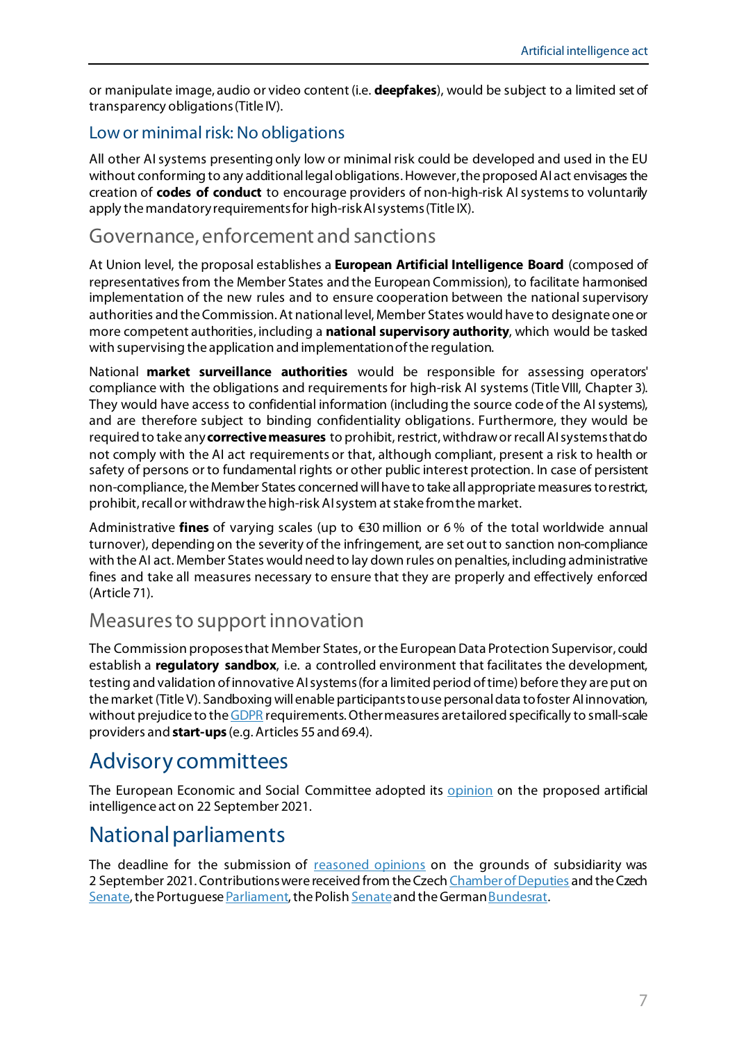or manipulate image, audio or video content (i.e. **deepfakes**), would be subject to a limited set of transparency obligations(Title IV).

#### Low or minimal risk: No obligations

All other AI systems presenting only low or minimal risk could be developed and used in the EU without conforming to any additional legal obligations. However, the proposed AI act envisages the creation of **codes of conduct** to encourage providers of non-high-risk AI systems to voluntarily apply the mandatory requirements for high-risk AI systems(Title IX).

### Governance, enforcement and sanctions

At Union level, the proposal establishes a **European Artificial Intelligence Board** (composed of representatives from the Member States and the European Commission), to facilitate harmonised implementation of the new rules and to ensure cooperation between the national supervisory authorities and the Commission. At national level, Member States would have to designate one or more competent authorities, including a **national supervisory authority**, which would be tasked with supervising the application and implementation of the regulation.

National **market surveillance authorities** would be responsible for assessing operators' compliance with the obligations and requirements for high-risk AI systems (Title VIII, Chapter 3). They would have access to confidential information (including the source code of the AI systems), and are therefore subject to binding confidentiality obligations. Furthermore, they would be required to take any **corrective measures** to prohibit, restrict, withdraw or recall AI systems that do not comply with the AI act requirements or that, although compliant, present a risk to health or safety of persons or to fundamental rights or other public interest protection. In case of persistent non-compliance, the Member States concerned will have to take all appropriate measures to restrict, prohibit, recall or withdraw the high-risk AI system at stake from the market.

Administrative **fines** of varying scales (up to €30 million or 6 % of the total worldwide annual turnover), depending on the severity of the infringement, are set out to sanction non-compliance with the AI act. Member States would need to lay down rules on penalties, including administrative fines and take all measures necessary to ensure that they are properly and effectively enforced (Article 71).

#### Measures to support innovation

The Commission proposes that Member States, or the European Data Protection Supervisor, could establish a **regulatory sandbox**, i.e. a controlled environment that facilitates the development, testing and validation of innovative AI systems (for a limited period of time) before they are put on the market (Title V). Sandboxing will enable participantsto use personal data tofoster AI innovation, without prejudice to th[e GDPR](https://eur-lex.europa.eu/eli/reg/2016/679/oj) requirements. Other measures are tailored specifically to small-scale providers and **start-ups** (e.g. Articles 55 and 69.4).

# Advisory committees

The European Economic and Social Committee adopted its [opinion](https://www.eesc.europa.eu/en/our-work/opinions-information-reports/opinions/regulation-artificial-intelligence) on the proposed artificial intelligence act on 22 September 2021.

# National parliaments

The deadline for the submission of [reasoned opinions](https://ipexl.europarl.europa.eu/IPEXL-WEB/document/COM-2021-0206) on the grounds of subsidiarity was 2 September 2021. Contributions were received from the Czec[h Chamber of Deputies](https://www.europarl.europa.eu/RegData/docs_autres_institutions/parlements_nationaux/com/2021/0206/CZ_CHAMBER_CONT1-COM(2021)0206_CS.pdf) and the Czech [Senate,](https://www.europarl.europa.eu/RegData/docs_autres_institutions/parlements_nationaux/com/2021/0206/CZ_SENATE_CONT1-COM(2021)0206_EN.pdf) the Portugues[e Parliament,](https://www.europarl.europa.eu/RegData/docs_autres_institutions/parlements_nationaux/com/2021/0206/PT_PARLIAMENT_CONT1-COM(2021)0206_PT.pdf) the Polis[h Senate](https://www.europarl.europa.eu/RegData/docs_autres_institutions/parlements_nationaux/com/2021/0206/PL_SENATE_CONT2-COM(2021)0206_EN.pdf) and the Germa[n Bundesrat](https://www.europarl.europa.eu/RegData/docs_autres_institutions/parlements_nationaux/com/2021/0206/DE_BUNDESRAT_CONT1-COM(2021)0206_DE.pdf).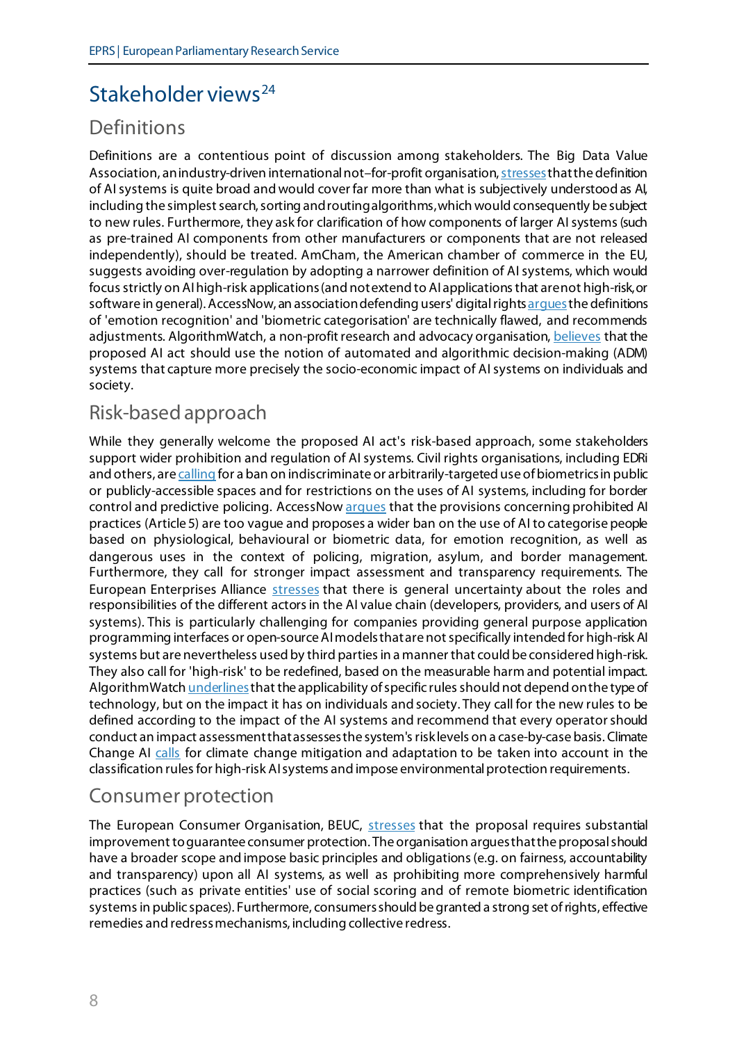# Stakeholder views<sup>[24](#page-11-7)</sup>

### Definitions

Definitions are a contentious point of discussion among stakeholders. The Big Data Value Association, an industry-driven international not-for-profit organisation, stresses that the definition of AIsystems is quite broad and would cover far more than what is subjectively understood as AI, including the simplest search, sorting and routing algorithms, which would consequently be subject to new rules. Furthermore, they ask for clarification of how components of larger AI systems (such as pre-trained AI components from other manufacturers or components that are not released independently), should be treated. AmCham, the American chamber of commerce in the EU, suggests avoiding over-regulation by adopting a narrower definition of AI systems, which would focus strictly on AI high-risk applications (and not extend to AI applications that are not high-risk, or software in general). AccessNow, an association defending users' digital right[s argues](https://www.accessnow.org/how-to-fix-eu-artificial-intelligence-act/) the definitions of 'emotion recognition' and 'biometric categorisation' are technically flawed, and recommends adjustments. AlgorithmWatch, a non-profit research and advocacy organisation[, believes](https://algorithmwatch.org/en/wp-content/uploads/2021/08/EU-AI-Act-Consultation-Submission-by-AlgorithmWatch-August-2021.pdf) that the proposed AI act should use the notion of automated and algorithmic decision-making (ADM) systems that capture more precisely the socio-economic impact of AI systems on individuals and society.

# Risk-based approach

While they generally welcome the proposed AI act's risk-based approach, some stakeholders support wider prohibition and regulation of AI systems. Civil rights organisations, including EDRi and others, ar[e calling](https://edri.org/wp-content/uploads/2021/01/EDRi-open-letter-AI-red-lines.pdf) for a ban on indiscriminate or arbitrarily-targeted use of biometrics in public or publicly-accessible spaces and for restrictions on the uses of AI systems, including for border control and predictive policing. AccessNo[w argues](https://www.accessnow.org/how-to-fix-eu-artificial-intelligence-act/) that the provisions concerning prohibited AI practices (Article 5) are too vague and proposes a wider ban on the use of AI to categorise people based on physiological, behavioural or biometric data, for emotion recognition, as well as dangerous uses in the context of policing, migration, asylum, and border management. Furthermore, they call for stronger impact assessment and transparency requirements. The European Enterprises Alliance [stresses](https://enterprisealliance.eu/wp-content/uploads/2021/10/Joint-Letter-on-AI-Proposal.pdf) that there is general uncertainty about the roles and responsibilities of the different actors in the AI value chain (developers, providers, and users of AI systems). This is particularly challenging for companies providing general purpose application programming interfaces or open-source AI models that are not specifically intended for high-risk AI systems but are nevertheless used by third parties in a manner that could be considered high-risk. They also call for 'high-risk' to be redefined, based on the measurable harm and potential impact. AlgorithmWatc[h underlines](https://algorithmwatch.org/en/wp-content/uploads/2021/08/EU-AI-Act-Consultation-Submission-by-AlgorithmWatch-August-2021.pdf) that the applicability of specific rules should not depend on the type of technology, but on the impact it has on individuals and society. They call for the new rules to be defined according to the impact of the AI systems and recommend that every operatorshould conduct an impact assessment that assesses the system's risk levels on a case-by-case basis. Climate Change AI [calls](https://ec.europa.eu/info/law/better-regulation/have-your-say/initiatives/12527-Artificial-intelligence-ethical-and-legal-requirements/F2665623_en) for climate change mitigation and adaptation to be taken into account in the classification rules for high-risk AI systems and impose environmental protection requirements.

### Consumer protection

The European Consumer Organisation, BEUC, [stresses](https://www.beuc.eu/publications/beuc-x-2021-088_regulating_ai_to_protect_the_consumer.pdf) that the proposal requires substantial improvement to guarantee consumer protection. The organisation arguesthatthe proposal should have a broader scope and impose basic principles and obligations (e.g. on fairness, accountability and transparency) upon all AI systems, as well as prohibiting more comprehensively harmful practices (such as private entities' use of social scoring and of remote biometric identification systems in public spaces). Furthermore, consumers should be granted a strong set of rights, effective remedies and redress mechanisms, including collective redress.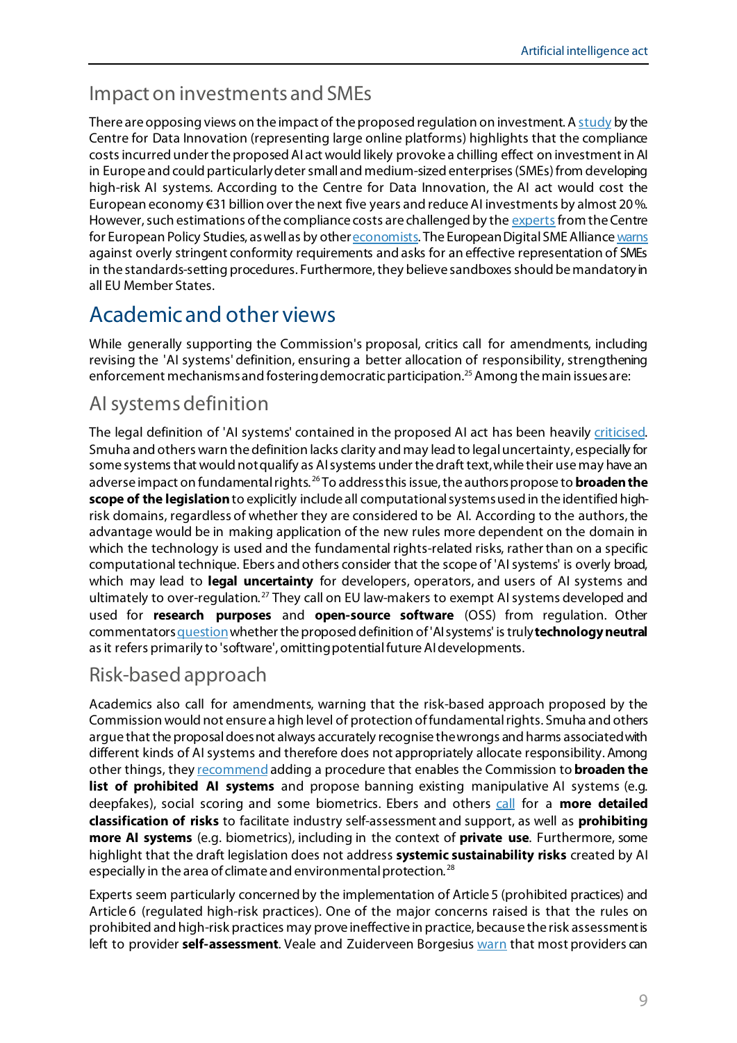### Impact on investments and SMEs

There are opposing views on the impact of the proposed regulation on investment. [A study](https://www2.datainnovation.org/2021-aia-costs.pdf) by the Centre for Data Innovation (representing large online platforms) highlights that the compliance costs incurred under the proposed AI act would likely provoke a chilling effect on investment in AI in Europe and could particularly deter small and medium-sized enterprises (SMEs) from developing high-risk AI systems. According to the Centre for Data Innovation, the AI act would cost the European economy  $\epsilon$ 31 billion over the next five years and reduce AI investments by almost 20%. However, such estimations of the compliance costs are challenged by th[e experts](https://www.ceps.eu/clarifying-the-costs-for-the-eus-ai-act/?mc_cid=1b1e61c5af&mc_eid=9a740783cd) from the Centre for European Policy Studies, as well as by oth[er economists.](https://osf.io/preprints/socarxiv/8nzb4/) The European Digital SME Allianc[e warns](https://www.digitalsme.eu/digital/uploads/DIGITAL-SME-Position-Paper-AI-Act-FINAL-DRAFT-1.pdf) against overly stringent conformity requirements and asks for an effective representation of SMEs in the standards-setting procedures. Furthermore, they believe sandboxes should be mandatory in all EU Member States.

# Academic and other views

While generally supporting the Commission's proposal, critics call for amendments, including revising the 'AI systems' definition, ensuring a better allocation of responsibility, strengthening enforcement mechanisms and fostering democratic participation.<sup>25</sup> Among the main issues are:

# AI systems definition

The legal definition of 'AI systems' contained in the proposed AI act has been heavily [criticised.](https://iplens.org/category/artificial-intelligence/) Smuha and others warn the definition lacks clarity and may lead to legal uncertainty, especially for some systems that would not qualify as AI systems under the draft text,while their use may have an adverse impact on fundamental rights. [26](#page-11-9) To address this issue, the authors propose to **broadenthe scope of the legislation**to explicitly include all computational systemsused in the identified highrisk domains, regardless of whether they are considered to be AI. According to the authors, the advantage would be in making application of the new rules more dependent on the domain in which the technology is used and the fundamental rights-related risks, rather than on a specific computational technique. Ebers and others consider that the scope of 'AI systems' is overly broad, which may lead to **legal uncertainty** for developers, operators, and users of AI systems and ultimately to over-regulation. [27](#page-11-10) They call on EU law-makers to exempt AI systems developed and used for **research purposes** and **open-source software** (OSS) from regulation. Other commentator[s question](https://www.project-sherpa.eu/european-commissions-proposed-regulation-on-artificial-intelligence-is-the-draft-regulation-aligned-with-the-sherpa-recommendations/)whether the proposed definition of 'AI systems' is truly **technology neutral** as it refers primarily to 'software', omittingpotential future AI developments.

### Risk-based approach

Academics also call for amendments, warning that the risk-based approach proposed by the Commission would not ensure a high level of protection of fundamental rights. Smuha and others argue that the proposal does not always accurately recognise the wrongs and harms associated with different kinds of AI systems and therefore does not appropriately allocate responsibility. Among other things, the[y recommend](https://papers.ssrn.com/sol3/papers.cfm?abstract_id=3899991) adding a procedure that enables the Commission to **broaden the list of prohibited AI systems** and propose banning existing manipulative AI systems (e.g. deepfakes), social scoring and some biometrics. Ebers and others [call](https://www.mdpi.com/2571-8800/4/4/43/htm) for a **more detailed classification of risks** to facilitate industry self-assessment and support, as well as **prohibiting more AI systems** (e.g. biometrics), including in the context of **private use**. Furthermore, some highlight that the draft legislation does not address **systemic sustainability risks** created by AI especially in the area of climate and environmental protection. [28](#page-11-11)

Experts seem particularly concerned by the implementation of Article 5 (prohibited practices) and Article 6 (regulated high-risk practices). One of the major concerns raised is that the rules on prohibited and high-risk practices may prove ineffective in practice, because the risk assessment is left to provider **self-assessment**. Veale and Zuiderveen Borgesiu[s warn](https://arxiv.org/ftp/arxiv/papers/2107/2107.03721.pdf) that most providers can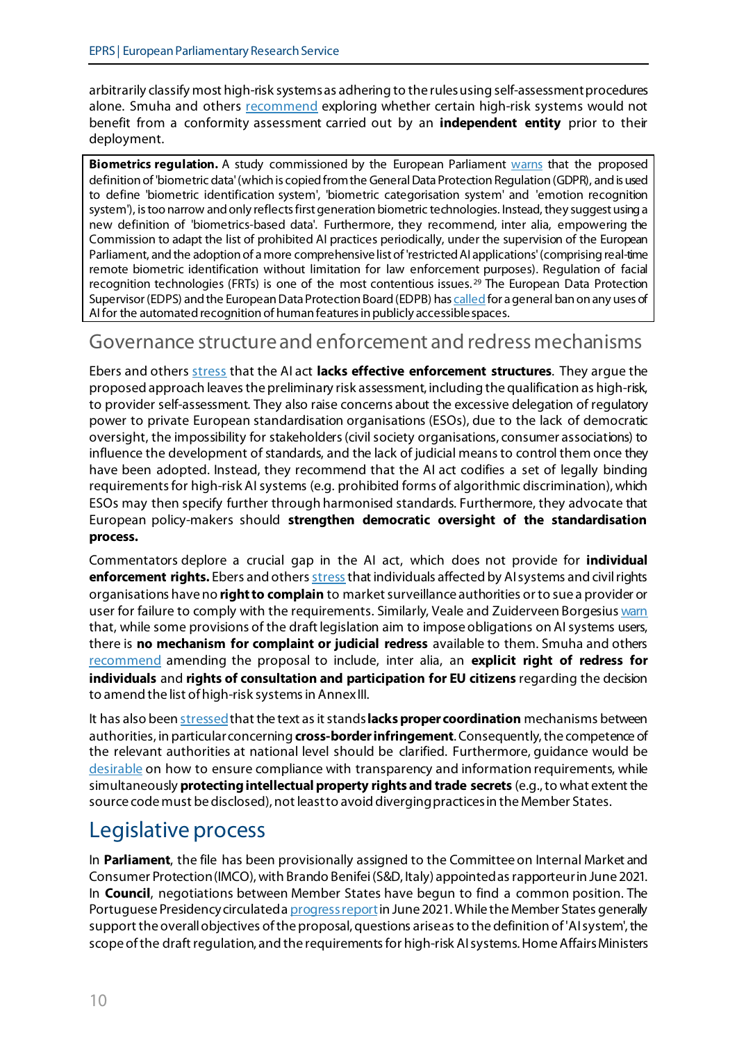arbitrarily classify most high-risk systems as adhering to the rules using self-assessment procedures alone. Smuha and others [recommend](https://papers.ssrn.com/sol3/papers.cfm?abstract_id=3899991) exploring whether certain high-risk systems would not benefit from a conformity assessment carried out by an **independent entity** prior to their deployment.

**Biometrics regulation.** A study commissioned by the European Parliament [warns](https://www.europarl.europa.eu/RegData/etudes/STUD/2021/696968/IPOL_STU(2021)696968_EN.pdf) that the proposed definition of 'biometric data'(which is copied from the General Data Protection Regulation (GDPR), and is used to define 'biometric identification system', 'biometric categorisation system' and 'emotion recognition system'), is too narrow and only reflects first generation biometric technologies. Instead, they suggest using a new definition of 'biometrics-based data'. Furthermore, they recommend, inter alia, empowering the Commission to adapt the list of prohibited AI practices periodically, under the supervision of the European Parliament, and the adoption of a more comprehensive list of 'restricted AI applications'(comprising real-time remote biometric identification without limitation for law enforcement purposes). Regulation of facial recognition technologies (FRTs) is one of the most contentious issues. [29](#page-11-12) The European Data Protection Supervisor (EDPS) and the European Data Protection Board (EDPB) has [called](https://edps.europa.eu/press-publications/press-news/press-releases/2021/artificial-intelligence-act-welcomed-initiative_en) for a general ban on any uses of AI for the automated recognition of human features in publicly accessible spaces.

#### Governance structure and enforcement and redress mechanisms

Ebers and others [stress](https://www.mdpi.com/2571-8800/4/4/43) that the AI act **lacks effective enforcement structures**. They argue the proposed approach leaves the preliminary risk assessment, including the qualification as high-risk, to provider self-assessment. They also raise concerns about the excessive delegation of regulatory power to private European standardisation organisations (ESOs), due to the lack of democratic oversight, the impossibility for stakeholders (civil society organisations, consumer associations) to influence the development of standards, and the lack of judicial means to control them once they have been adopted. Instead, they recommend that the AI act codifies a set of legally binding requirements for high-risk AI systems (e.g. prohibited forms of algorithmic discrimination), which ESOs may then specify further through harmonised standards. Furthermore, they advocate that European policy-makers should **strengthen democratic oversight of the standardisation process.**

Commentators deplore a crucial gap in the AI act, which does not provide for **individual enforcement rights.** Ebers and other[s stress](https://www.mdpi.com/2571-8800/4/4/43/htm) that individuals affected by AI systems and civil rights organisations have no **right to complain** to market surveillance authorities or to sue a provider or user for failure to comply with the requirements. Similarly, Veale and Zuiderveen Borgesiu[s warn](https://arxiv.org/ftp/arxiv/papers/2107/2107.03721.pdf) that, while some provisions of the draft legislation aim to impose obligations on AI systems users, there is **no mechanism for complaint or judicial redress** available to them. Smuha and others [recommend](https://papers.ssrn.com/sol3/papers.cfm?abstract_id=3899991) amending the proposal to include, inter alia, an **explicit right of redress for individuals** and **rights of consultation and participation for EU citizens** regarding the decision to amend the list of high-risk systems in AnnexIII.

It has also bee[n stressed](https://iplens.org/2021/05/11/a-proposal-for-ai-change-a-succinct-overview-of-the-proposal-for-regulation-laying-down-harmonised-rules-on-artificial-intelligence/) that the text as it stands **lacks proper coordination** mechanisms between authorities, in particular concerning **cross-border infringement**. Consequently, the competence of the relevant authorities at national level should be clarified. Furthermore, guidance would be [desirable](https://iplens.org/2021/05/11/a-proposal-for-ai-change-a-succinct-overview-of-the-proposal-for-regulation-laying-down-harmonised-rules-on-artificial-intelligence/) on how to ensure compliance with transparency and information requirements, while simultaneously **protecting intellectual property rights and trade secrets** (e.g., to what extent the source code must be disclosed), not leastto avoid diverging practicesin the Member States.

# Legislative process

In **Parliament**, the file has been provisionally assigned to the Committee on Internal Market and Consumer Protection (IMCO), with Brando Benifei (S&D, Italy) appointed as rapporteur in June 2021. In **Council**, negotiations between Member States have begun to find a common position. The Portuguese Presidency circulated [a progress report](https://data.consilium.europa.eu/doc/document/ST-9674-2021-INIT/en/pdf) in June 2021. While the Member States generally support the overall objectives of the proposal, questions arise as to the definition of 'AI system', the scope of the draft regulation, and the requirements for high-risk AI systems. Home Affairs Ministers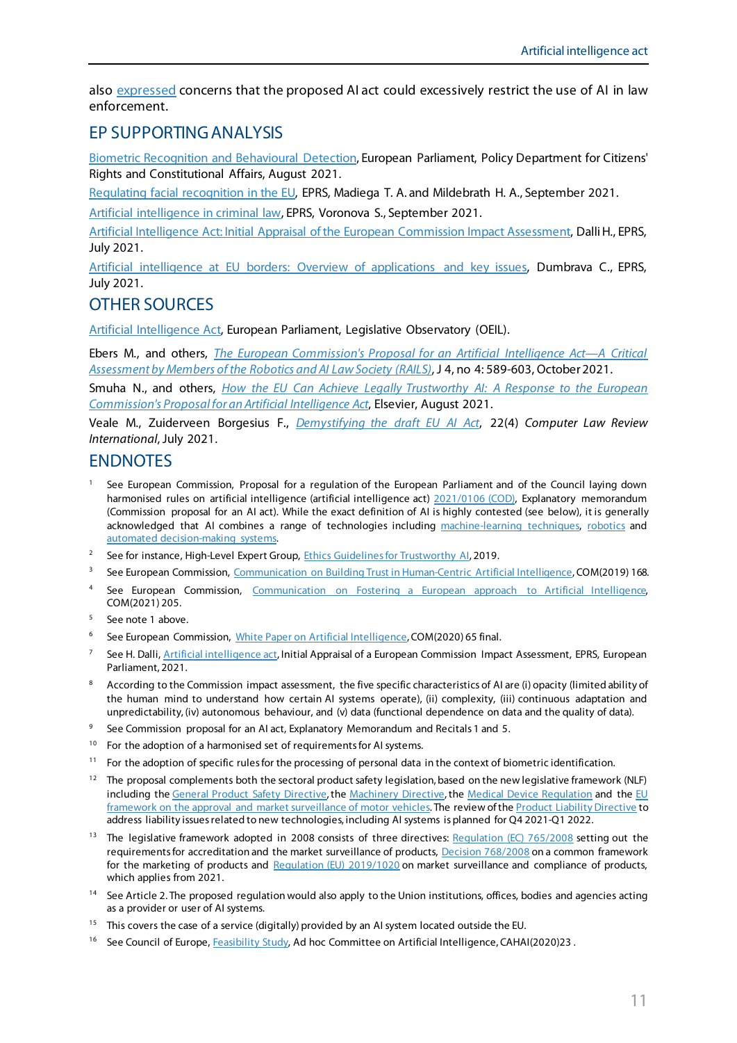also [expressed](https://www.consilium.europa.eu/media/52343/background-paper-ai-from-ambition-to-action.pdf) concerns that the proposed AI act could excessively restrict the use of AI in law enforcement.

#### EP SUPPORTING ANALYSIS

[Biometric Recognition and Behavioural Detection,](https://www.europarl.europa.eu/RegData/etudes/STUD/2021/696968/IPOL_STU(2021)696968_EN.pdf) European Parliament, Policy Department for Citizens' Rights and Constitutional Affairs, August 2021.

[Regulating facial recognition in the EU,](https://www.europarl.europa.eu/thinktank/en/document.html?reference=EPRS_IDA(2021)698021) EPRS, Madiega T. A. and Mildebrath H. A., September 2021.

[Artificial intelligence in criminal law,](https://www.europarl.europa.eu/thinktank/en/document.html?reference=EPRS_ATA(2021)698039) EPRS, Voronova S., September 2021.

[Artificial Intelligence Act: Initial Appraisal of the European Commission Impact Assessment,](http://www.europarl.europa.eu/thinktank/en/document.html?reference=EPRS_BRI(2021)694212) Dalli H., EPRS, July 2021.

[Artificial intelligence at EU borders: Overview of applications and key issues,](https://www.europarl.europa.eu/thinktank/en/document.html?reference=EPRS_IDA(2021)690706) Dumbrava C., EPRS, July 2021.

#### OTHER SOURCES

[Artificial Intelligence Act,](https://oeil.secure.europarl.europa.eu/oeil/popups/ficheprocedure.do?reference=2021/0106(COD)&l=en) European Parliament, Legislative Observatory (OEIL).

Ebers M., and others, *The European [Commission's Proposal for an Artificial Intelligence Act—A Critical](https://www.mdpi.com/2571-8800/4/4/43)  [Assessment by Members of the Robotics and AI Law Society \(RAILS\)](https://www.mdpi.com/2571-8800/4/4/43)*, J 4, no 4: 589-603, October 2021.

Smuha N., and others, *[How the EU Can Achieve Legally Trustworthy AI: A Response to the European](https://papers.ssrn.com/sol3/papers.cfm?abstract_id=3899991)  [Commission's Proposal for an Artificial Intelligence Act](https://papers.ssrn.com/sol3/papers.cfm?abstract_id=3899991)*, Elsevier, August 2021.

Veale M., Zuiderveen Borgesius F., *[Demystifying the draft EU AI Act](https://arxiv.org/ftp/arxiv/papers/2107/2107.03721.pdf)*, 22(4) *Computer Law Review International*, July 2021.

#### ENDNOTES

- <span id="page-10-0"></span><sup>1</sup> See European Commission, Proposal for a regulation of the European Parliament and of the Council laying down harmonised rules on artificial intelligence (artificial intelligence act) [2021/0106 \(COD\),](https://digital-strategy.ec.europa.eu/en/library/proposal-regulation-laying-down-harmonised-rules-artificial-intelligence-artificial-intelligence) Explanatory memorandum (Commission proposal for an AI act). While the exact definition of AI is highly contested (see below), it is generally acknowledged that AI combines a range of technologies including [machine-learning techniques,](https://www.technologyreview.com/2018/11/17/103781/what-is-machine-learning-we-drew-you-another-flowchart/) [robotics](https://ifr.org/downloads/papers/Media_Backgrounder_on_Artificial_Intelligence_in_Robotics_May_2018.pdf) and [automated decision-making systems.](https://algorithmwatch.org/wp-content/uploads/2019/02/Automating_Society_Report_2019.pdf)
- <span id="page-10-1"></span><sup>2</sup> See for instance, High-Level Expert Group, [Ethics Guidelines for Trustworthy AI,](https://digital-strategy.ec.europa.eu/en/library/ethics-guidelines-trustworthy-ai) 2019.
- <span id="page-10-2"></span><sup>3</sup> See European Commission, [Communication on Building Trust in Human-Centric Artificial Intelligence](https://eur-lex.europa.eu/legal-content/EN/TXT/PDF/?uri=CELEX:52019DC0168&from=BG), COM(2019) 168.
- <span id="page-10-3"></span>4 See European Commission, Communication on Fostering a European approach to Artificial Intelligence, COM(2021) 205.
- <span id="page-10-4"></span><sup>5</sup> See note 1 above.
- <span id="page-10-5"></span><sup>6</sup> See European Commission, [White Paper on Artificial Intelligence,](https://ec.europa.eu/info/sites/default/files/commission-white-paper-artificial-intelligence-feb2020_en.pdf) COM(2020) 65 final.
- <span id="page-10-6"></span><sup>7</sup> See H. Dalli, [Artificial intelligence act](https://www.europarl.europa.eu/RegData/etudes/BRIE/2021/694212/EPRS_BRI(2021)694212_EN.pdf), Initial Appraisal of a European Commission Impact Assessment, EPRS, European Parliament, 2021.
- <span id="page-10-7"></span><sup>8</sup> According to the Commission impact assessment, the five specific characteristics of AI are (i) opacity (limited ability of the human mind to understand how certain AI systems operate), (ii) complexity, (iii) continuous adaptation and unpredictability, (iv) autonomous behaviour, and (v) data (functional dependence on data and the quality of data).
- <span id="page-10-8"></span><sup>9</sup> See Commission proposal for an AI act, Explanatory Memorandum and Recitals 1 and 5.
- <span id="page-10-9"></span><sup>10</sup> For the adoption of a harmonised set of requirements for AI systems.
- <span id="page-10-10"></span><sup>11</sup> For the adoption of specific rules for the processing of personal data in the context of biometric identification.
- <span id="page-10-11"></span> $12$  The proposal complements both the sectoral product safety legislation, based on the new legislative framework (NLF) including th[e General Product Safety Directive,](https://eur-lex.europa.eu/legal-content/EN/TXT/PDF/?uri=CELEX:32001L0095&from=EN) the [Machinery](https://eur-lex.europa.eu/LexUriServ/LexUriServ.do?uri=OJ:L:2006:157:0024:0086:EN:PDF) Directive, the [Medical Device Regulation](https://eur-lex.europa.eu/legal-content/EN/TXT/?uri=CELEX%3A32017R0745) and the EU [framework on the approval and market surveillance of motor vehicles.](https://eur-lex.europa.eu/eli/reg/2019/2144/oj) The review of the [Product Liability Directive](https://eur-lex.europa.eu/legal-content/EN/ALL/?uri=celex%3A31985L0374) to address liability issues related to new technologies, including AI systems is planned for Q4 2021-Q1 2022.
- <span id="page-10-12"></span><sup>13</sup> The legislative framework adopted in 2008 consists of three directives: [Regulation \(EC\)](http://eur-lex.europa.eu/legal-content/EN/TXT/?uri=CELEX:32008R0765&locale=en) 765/2008 setting out the requirements for accreditation and the market surveillance of products, Decision [768/2008](http://eur-lex.europa.eu/legal-content/EN/TXT/?uri=CELEX:32008D0768&locale=en) on a common framework for the marketing of products and [Regulation \(EU\)](https://eur-lex.europa.eu/legal-content/EN/TXT/?uri=celex:32019R1020) 2019/1020 on market surveillance and compliance of products, which applies from 2021.
- <span id="page-10-13"></span><sup>14</sup> See Article 2. The proposed regulation would also apply to the Union institutions, offices, bodies and agencies acting as a provider or user of AI systems.
- <span id="page-10-14"></span><sup>15</sup> This covers the case of a service (digitally) provided by an AI system located outside the EU.
- <span id="page-10-15"></span><sup>16</sup> See Council of Europe, [Feasibility Study,](https://rm.coe.int/cahai-2020-23-final-eng-feasibility-study-/1680a0c6da) Ad hoc Committee on Artificial Intelligence, CAHAI(2020)23.